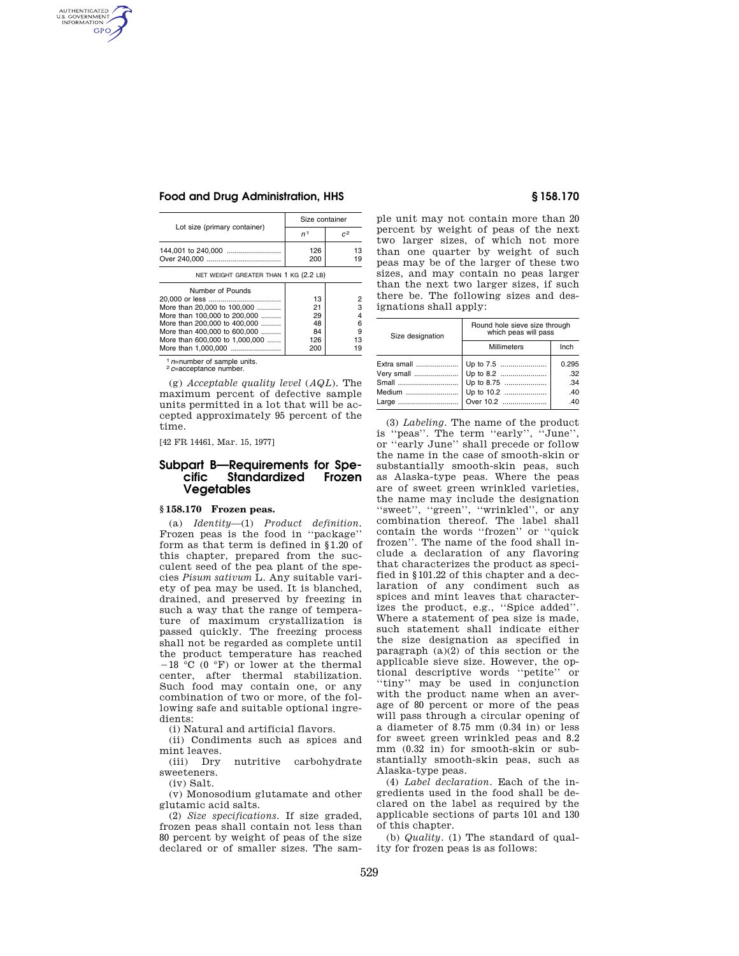AUTHENTICATED<br>U.S. GOVERNMENT<br>INFORMATION **GPO** 

## **Food and Drug Administration, HHS § 158.170**

| Lot size (primary container)                                                                                                                                                      | Size container                    |                             |  |
|-----------------------------------------------------------------------------------------------------------------------------------------------------------------------------------|-----------------------------------|-----------------------------|--|
|                                                                                                                                                                                   | n <sup>1</sup>                    | C <sup>2</sup>              |  |
| 144,001 to 240,000                                                                                                                                                                | 126<br>200                        | 13<br>19                    |  |
| NET WEIGHT GREATER THAN 1 KG (2.2 LB)                                                                                                                                             |                                   |                             |  |
| Number of Pounds<br>More than 20,000 to 100,000<br>More than 100,000 to 200,000<br>More than 200,000 to 400,000<br>More than 400,000 to 600,000<br>More than 600,000 to 1,000,000 | 13<br>21<br>29<br>48<br>84<br>126 | 2<br>з<br>4<br>6<br>9<br>13 |  |
| More than 1.000.000                                                                                                                                                               | 200                               | 9                           |  |

<sup>1</sup> *<sup>n</sup>*=number of sample units. 2 *<sup>c</sup>*=acceptance number.

(g) *Acceptable quality level* (*AQL*). The maximum percent of defective sample units permitted in a lot that will be accepted approximately 95 percent of the time.

[42 FR 14461, Mar. 15, 1977]

# **Subpart B—Requirements for Spe-**Standardized **Vegetables**

## **§ 158.170 Frozen peas.**

(a) *Identity*—(1) *Product definition.*  Frozen peas is the food in ''package'' form as that term is defined in §1.20 of this chapter, prepared from the succulent seed of the pea plant of the species *Pisum sativum* L. Any suitable variety of pea may be used. It is blanched, drained, and preserved by freezing in such a way that the range of temperature of maximum crystallization is passed quickly. The freezing process shall not be regarded as complete until the product temperature has reached  $-18$  °C (0 °F) or lower at the thermal center, after thermal stabilization. Such food may contain one, or any combination of two or more, of the following safe and suitable optional ingredients:

(i) Natural and artificial flavors.

(ii) Condiments such as spices and mint leaves.<br>(iii) Drv

nutritive carbohydrate sweeteners.

(iv) Salt.

(v) Monosodium glutamate and other glutamic acid salts.

(2) *Size specifications.* If size graded, frozen peas shall contain not less than 80 percent by weight of peas of the size declared or of smaller sizes. The sam-

ple unit may not contain more than 20 percent by weight of peas of the next two larger sizes, of which not more than one quarter by weight of such peas may be of the larger of these two sizes, and may contain no peas larger than the next two larger sizes, if such there be. The following sizes and designations shall apply:

| Size designation | Round hole sieve size through<br>which peas will pass |       |  |
|------------------|-------------------------------------------------------|-------|--|
|                  | <b>Millimeters</b>                                    | Inch  |  |
| Extra small      | Up to 7.5                                             | 0.295 |  |
|                  |                                                       | .32   |  |
| Small            | Up to 8.75                                            | .34   |  |
| Medium           | Up to 10.2                                            | .40   |  |
|                  | Large   Over 10.2                                     | .40   |  |

(3) *Labeling.* The name of the product is ''peas''. The term ''early'', ''June'', or ''early June'' shall precede or follow the name in the case of smooth-skin or substantially smooth-skin peas, such as Alaska-type peas. Where the peas are of sweet green wrinkled varieties, the name may include the designation ''sweet'', ''green'', ''wrinkled'', or any combination thereof. The label shall contain the words ''frozen'' or ''quick frozen''. The name of the food shall include a declaration of any flavoring that characterizes the product as specified in §101.22 of this chapter and a declaration of any condiment such as spices and mint leaves that characterizes the product, e.g., ''Spice added''. Where a statement of pea size is made, such statement shall indicate either the size designation as specified in paragraph (a)(2) of this section or the applicable sieve size. However, the optional descriptive words ''petite'' or ''tiny'' may be used in conjunction with the product name when an average of 80 percent or more of the peas will pass through a circular opening of a diameter of 8.75 mm (0.34 in) or less for sweet green wrinkled peas and 8.2 mm (0.32 in) for smooth-skin or substantially smooth-skin peas, such as Alaska-type peas.

(4) *Label declaration.* Each of the ingredients used in the food shall be declared on the label as required by the applicable sections of parts 101 and 130 of this chapter.

(b) *Quality.* (1) The standard of quality for frozen peas is as follows: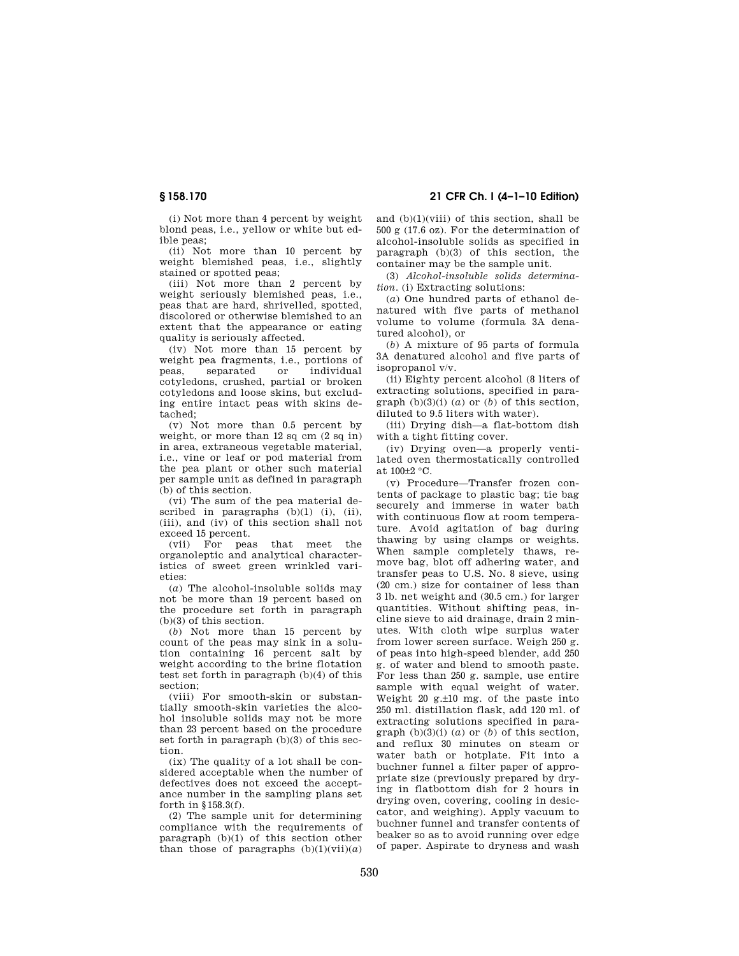**§ 158.170 21 CFR Ch. I (4–1–10 Edition)** 

(i) Not more than 4 percent by weight blond peas, i.e., yellow or white but edible peas;

(ii) Not more than 10 percent by weight blemished peas, i.e., slightly stained or spotted peas;

(iii) Not more than 2 percent by weight seriously blemished peas, i.e., peas that are hard, shrivelled, spotted, discolored or otherwise blemished to an extent that the appearance or eating quality is seriously affected.

(iv) Not more than 15 percent by weight pea fragments, i.e., portions of<br>peas. separated or individual peas, separated or individual cotyledons, crushed, partial or broken cotyledons and loose skins, but excluding entire intact peas with skins detached;

(v) Not more than 0.5 percent by weight, or more than  $12$  sq cm  $(2 \text{ sq in})$ in area, extraneous vegetable material, i.e., vine or leaf or pod material from the pea plant or other such material per sample unit as defined in paragraph (b) of this section.

(vi) The sum of the pea material described in paragraphs  $(b)(1)$   $(i)$ ,  $(ii)$ , (iii), and (iv) of this section shall not exceed 15 percent.

(vii) For peas that meet the organoleptic and analytical characteristics of sweet green wrinkled varieties:

(*a*) The alcohol-insoluble solids may not be more than 19 percent based on the procedure set forth in paragraph (b)(3) of this section.

(*b*) Not more than 15 percent by count of the peas may sink in a solution containing 16 percent salt by weight according to the brine flotation test set forth in paragraph (b)(4) of this section;

(viii) For smooth-skin or substantially smooth-skin varieties the alcohol insoluble solids may not be more than 23 percent based on the procedure set forth in paragraph (b)(3) of this section.

(ix) The quality of a lot shall be considered acceptable when the number of defectives does not exceed the acceptance number in the sampling plans set forth in §158.3(f).

(2) The sample unit for determining compliance with the requirements of paragraph (b)(1) of this section other than those of paragraphs  $(b)(1)(vii)(a)$ 

and (b)(1)(viii) of this section, shall be 500 g (17.6 oz). For the determination of alcohol-insoluble solids as specified in paragraph (b)(3) of this section, the container may be the sample unit.

(3) *Alcohol-insoluble solids determination.* (i) Extracting solutions:

(*a*) One hundred parts of ethanol denatured with five parts of methanol volume to volume (formula 3A denatured alcohol), or

(*b*) A mixture of 95 parts of formula 3A denatured alcohol and five parts of isopropanol v/v.

(ii) Eighty percent alcohol (8 liters of extracting solutions, specified in paragraph  $(b)(3)(i)$   $(a)$  or  $(b)$  of this section. diluted to 9.5 liters with water).

(iii) Drying dish—a flat-bottom dish with a tight fitting cover.

(iv) Drying oven—a properly ventilated oven thermostatically controlled at 100±2 °C.

(v) Procedure—Transfer frozen contents of package to plastic bag; tie bag securely and immerse in water bath with continuous flow at room temperature. Avoid agitation of bag during thawing by using clamps or weights. When sample completely thaws, remove bag, blot off adhering water, and transfer peas to U.S. No. 8 sieve, using (20 cm.) size for container of less than 3 lb. net weight and (30.5 cm.) for larger quantities. Without shifting peas, incline sieve to aid drainage, drain 2 minutes. With cloth wipe surplus water from lower screen surface. Weigh 250 g. of peas into high-speed blender, add 250 g. of water and blend to smooth paste. For less than 250 g. sample, use entire sample with equal weight of water. Weight 20  $g.+10$  mg. of the paste into 250 ml. distillation flask, add 120 ml. of extracting solutions specified in paragraph  $(b)(3)(i)$   $(a)$  or  $(b)$  of this section, and reflux 30 minutes on steam or water bath or hotplate. Fit into a buchner funnel a filter paper of appropriate size (previously prepared by drying in flatbottom dish for 2 hours in drying oven, covering, cooling in desiccator, and weighing). Apply vacuum to buchner funnel and transfer contents of beaker so as to avoid running over edge of paper. Aspirate to dryness and wash